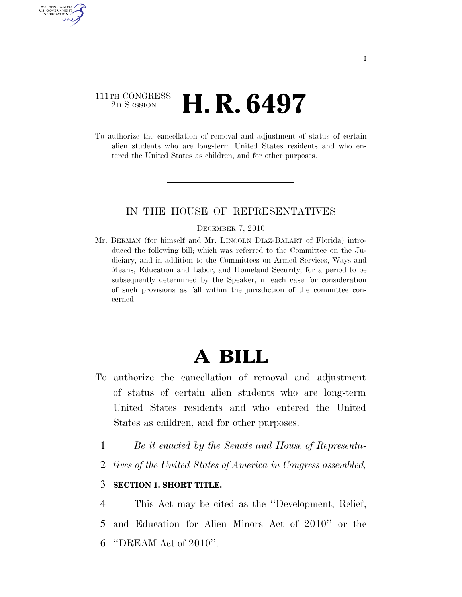### 111TH CONGRESS 2D SESSION **H. R. 6497**

AUTHENTICATED U.S. GOVERNMENT GPO

> To authorize the cancellation of removal and adjustment of status of certain alien students who are long-term United States residents and who entered the United States as children, and for other purposes.

### IN THE HOUSE OF REPRESENTATIVES

#### DECEMBER 7, 2010

Mr. BERMAN (for himself and Mr. LINCOLN DIAZ-BALART of Florida) introduced the following bill; which was referred to the Committee on the Judiciary, and in addition to the Committees on Armed Services, Ways and Means, Education and Labor, and Homeland Security, for a period to be subsequently determined by the Speaker, in each case for consideration of such provisions as fall within the jurisdiction of the committee concerned

# **A BILL**

- To authorize the cancellation of removal and adjustment of status of certain alien students who are long-term United States residents and who entered the United States as children, and for other purposes.
	- 1 *Be it enacted by the Senate and House of Representa-*
	- 2 *tives of the United States of America in Congress assembled,*

### 3 **SECTION 1. SHORT TITLE.**

4 This Act may be cited as the ''Development, Relief, 5 and Education for Alien Minors Act of 2010'' or the 6 ''DREAM Act of 2010''.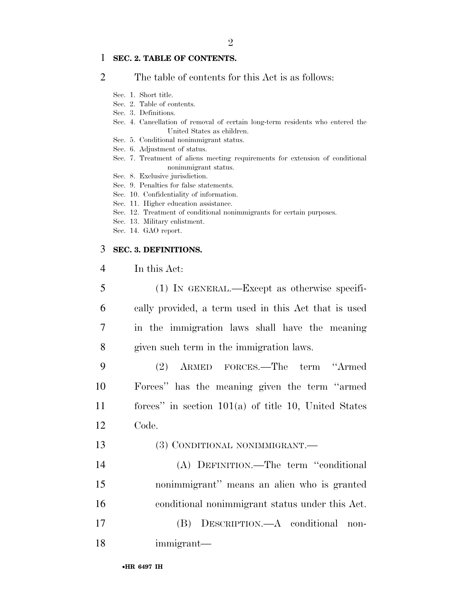### 1 **SEC. 2. TABLE OF CONTENTS.**

2 The table of contents for this Act is as follows:

- Sec. 1. Short title.
- Sec. 2. Table of contents.
- Sec. 3. Definitions.
- Sec. 4. Cancellation of removal of certain long-term residents who entered the United States as children.
- Sec. 5. Conditional nonimmigrant status.
- Sec. 6. Adjustment of status.
- Sec. 7. Treatment of aliens meeting requirements for extension of conditional nonimmigrant status.
- Sec. 8. Exclusive jurisdiction.
- Sec. 9. Penalties for false statements.
- Sec. 10. Confidentiality of information.
- Sec. 11. Higher education assistance.
- Sec. 12. Treatment of conditional nonimmigrants for certain purposes.
- Sec. 13. Military enlistment.
- Sec. 14. GAO report.

### 3 **SEC. 3. DEFINITIONS.**

| In this Act: |  |
|--------------|--|
|--------------|--|

|   | $(1)$ In GENERAL.—Except as otherwise specifi-       |
|---|------------------------------------------------------|
| 6 | cally provided, a term used in this Act that is used |
| 7 | in the immigration laws shall have the meaning       |
| 8 | given such term in the immigration laws.             |
|   | ARMED FORCES.—The term "Armed<br>(2)                 |
|   |                                                      |

10 Forces'' has the meaning given the term ''armed 11 forces'' in section 101(a) of title 10, United States 12 Code.

- 13 (3) CONDITIONAL NONIMMIGRANT.—
- 14 (A) DEFINITION.—The term ''conditional 15 nonimmigrant'' means an alien who is granted

16 conditional nonimmigrant status under this Act.

17 (B) DESCRIPTION.—A conditional non-18 immigrant—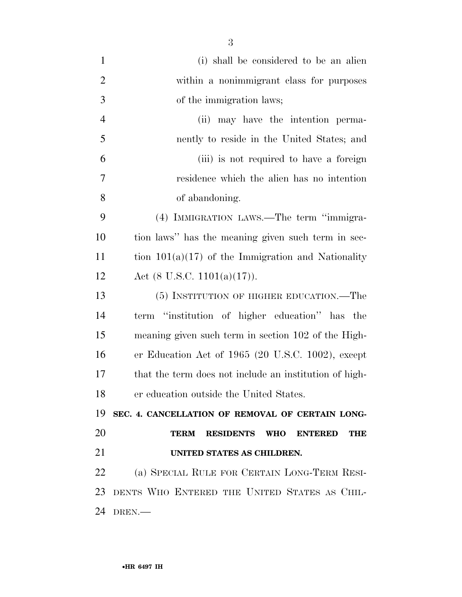| $\mathbf{1}$   | (i) shall be considered to be an alien                                        |
|----------------|-------------------------------------------------------------------------------|
| $\overline{2}$ | within a nonimmigrant class for purposes                                      |
| 3              | of the immigration laws;                                                      |
| $\overline{4}$ | may have the intention perma-<br>(ii)                                         |
| 5              | nently to reside in the United States; and                                    |
| 6              | (iii) is not required to have a foreign                                       |
| 7              | residence which the alien has no intention                                    |
| 8              | of abandoning.                                                                |
| 9              | (4) IMMIGRATION LAWS.—The term "immigra-                                      |
| 10             | tion laws" has the meaning given such term in sec-                            |
| 11             | tion $101(a)(17)$ of the Immigration and Nationality                          |
| 12             | Act $(8 \text{ U.S.C. } 1101(a)(17)).$                                        |
| 13             | (5) INSTITUTION OF HIGHER EDUCATION.—The                                      |
| 14             | term "institution of higher education" has the                                |
| 15             | meaning given such term in section 102 of the High-                           |
| 16             | er Education Act of $1965$ (20 U.S.C. 1002), except                           |
| 17             | that the term does not include an institution of high-                        |
| 18             | er education outside the United States.                                       |
| 19             | SEC. 4. CANCELLATION OF REMOVAL OF CERTAIN LONG-                              |
| 20             | <b>RESIDENTS</b><br><b>TERM</b><br><b>WHO</b><br><b>ENTERED</b><br><b>THE</b> |
| 21             | UNITED STATES AS CHILDREN.                                                    |
| 22             | (a) SPECIAL RULE FOR CERTAIN LONG-TERM RESI-                                  |
| 23             | DENTS WHO ENTERED THE UNITED STATES AS CHIL-                                  |
| 24             | DREN.                                                                         |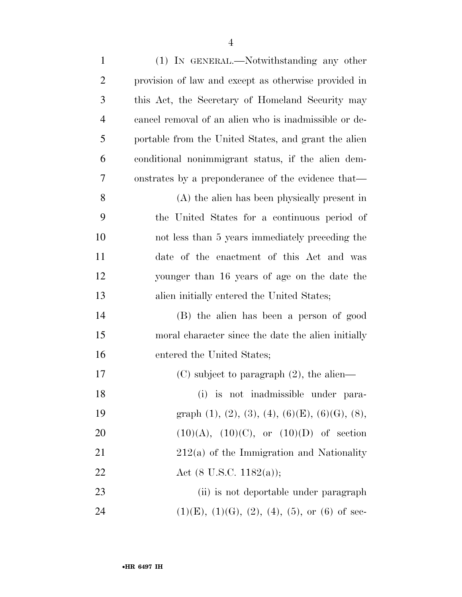| $\mathbf{1}$   | (1) IN GENERAL.—Notwithstanding any other                                 |
|----------------|---------------------------------------------------------------------------|
| $\overline{2}$ | provision of law and except as otherwise provided in                      |
| 3              | this Act, the Secretary of Homeland Security may                          |
| $\overline{4}$ | cancel removal of an alien who is inadmissible or de-                     |
| 5              | portable from the United States, and grant the alien                      |
| 6              | conditional nonimmigrant status, if the alien dem-                        |
| 7              | onstrates by a preponderance of the evidence that—                        |
| 8              | (A) the alien has been physically present in                              |
| 9              | the United States for a continuous period of                              |
| 10             | not less than 5 years immediately preceding the                           |
| 11             | date of the enactment of this Act and was                                 |
| 12             | younger than 16 years of age on the date the                              |
| 13             | alien initially entered the United States;                                |
| 14             | (B) the alien has been a person of good                                   |
| 15             | moral character since the date the alien initially                        |
| 16             | entered the United States;                                                |
| 17             | $(C)$ subject to paragraph $(2)$ , the alien—                             |
| 18             | is not inadmissible under para-<br>(i)                                    |
| 19             | graph $(1)$ , $(2)$ , $(3)$ , $(4)$ , $(6)$ $(E)$ , $(6)$ $(G)$ , $(8)$ , |
| 20             | $(10)(A), (10)(C),$ or $(10)(D)$ of section                               |
| 21             | $212(a)$ of the Immigration and Nationality                               |
| 22             | Act $(8 \text{ U.S.C. } 1182(a));$                                        |
| 23             | (ii) is not deportable under paragraph                                    |
| 24             | $(1)(E)$ , $(1)(G)$ , $(2)$ , $(4)$ , $(5)$ , or $(6)$ of sec-            |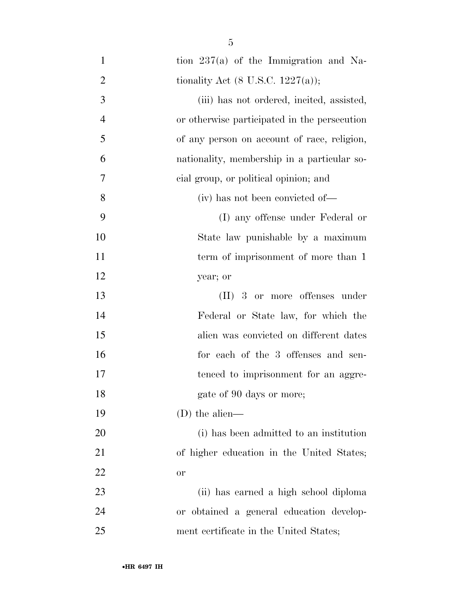- tion 237(a) of the Immigration and Na-2 tionality Act  $(8 \text{ U.S.C. } 1227(a));$  (iii) has not ordered, incited, assisted, or otherwise participated in the persecution of any person on account of race, religion, nationality, membership in a particular so- cial group, or political opinion; and (iv) has not been convicted of— (I) any offense under Federal or State law punishable by a maximum 11 term of imprisonment of more than 1 year; or (II) 3 or more offenses under Federal or State law, for which the alien was convicted on different dates 16 for each of the 3 offenses and sen-17 tenced to imprisonment for an aggre-18 gate of 90 days or more; (D) the alien— (i) has been admitted to an institution of higher education in the United States; or (ii) has earned a high school diploma or obtained a general education develop-
- ment certificate in the United States;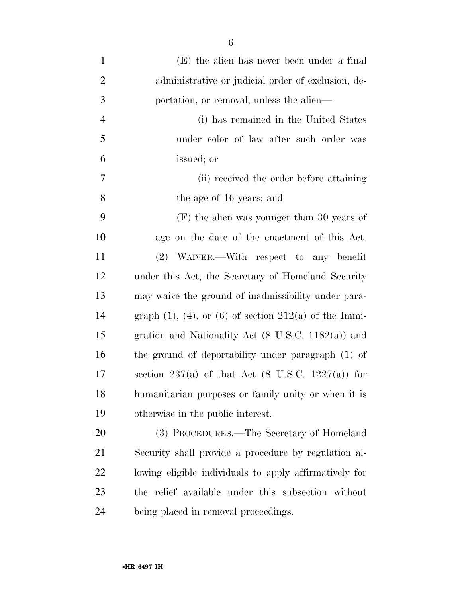| $\mathbf{1}$   | (E) the alien has never been under a final                      |
|----------------|-----------------------------------------------------------------|
| $\overline{2}$ | administrative or judicial order of exclusion, de-              |
| 3              | portation, or removal, unless the alien—                        |
| $\overline{4}$ | (i) has remained in the United States                           |
| 5              | under color of law after such order was                         |
| 6              | issued; or                                                      |
| 7              | (ii) received the order before attaining                        |
| 8              | the age of 16 years; and                                        |
| 9              | $(F)$ the alien was younger than 30 years of                    |
| 10             | age on the date of the enactment of this Act.                   |
| 11             | (2) WAIVER.—With respect to any benefit                         |
| 12             | under this Act, the Secretary of Homeland Security              |
| 13             | may waive the ground of inadmissibility under para-             |
| 14             | graph $(1)$ , $(4)$ , or $(6)$ of section $212(a)$ of the Immi- |
| 15             | gration and Nationality Act $(8 \text{ U.S.C. } 1182(a))$ and   |
| 16             | the ground of deportability under paragraph (1) of              |
| 17             | section 237(a) of that Act $(8 \text{ U.S.C. } 1227(a))$ for    |
| 18             | humanitarian purposes or family unity or when it is             |
| 19             | otherwise in the public interest.                               |
| 20             | (3) PROCEDURES.—The Secretary of Homeland                       |
| 21             | Security shall provide a procedure by regulation al-            |
| 22             | lowing eligible individuals to apply affirmatively for          |
| 23             | the relief available under this subsection without              |
| 24             | being placed in removal proceedings.                            |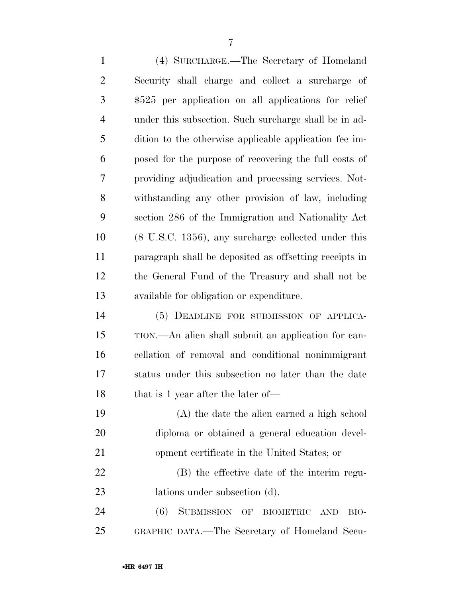(4) SURCHARGE.—The Secretary of Homeland Security shall charge and collect a surcharge of \$525 per application on all applications for relief under this subsection. Such surcharge shall be in ad- dition to the otherwise applicable application fee im- posed for the purpose of recovering the full costs of providing adjudication and processing services. Not- withstanding any other provision of law, including section 286 of the Immigration and Nationality Act (8 U.S.C. 1356), any surcharge collected under this paragraph shall be deposited as offsetting receipts in the General Fund of the Treasury and shall not be available for obligation or expenditure. (5) DEADLINE FOR SUBMISSION OF APPLICA-TION.—An alien shall submit an application for can-

 cellation of removal and conditional nonimmigrant status under this subsection no later than the date 18 that is 1 year after the later of—

 (A) the date the alien earned a high school diploma or obtained a general education devel-opment certificate in the United States; or

 (B) the effective date of the interim regu-lations under subsection (d).

 (6) SUBMISSION OF BIOMETRIC AND BIO-GRAPHIC DATA.—The Secretary of Homeland Secu-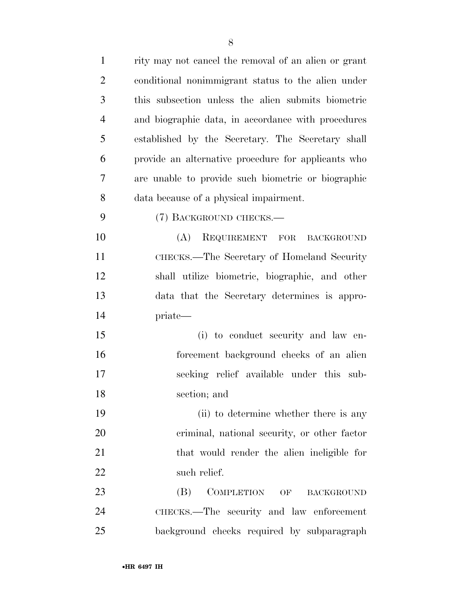| $\mathbf{1}$   | rity may not cancel the removal of an alien or grant |
|----------------|------------------------------------------------------|
| $\overline{2}$ | conditional nonimmigrant status to the alien under   |
| 3              | this subsection unless the alien submits biometric   |
| $\overline{4}$ | and biographic data, in accordance with procedures   |
| 5              | established by the Secretary. The Secretary shall    |
| 6              | provide an alternative procedure for applicants who  |
| 7              | are unable to provide such biometric or biographic   |
| 8              | data because of a physical impairment.               |
| 9              | (7) BACKGROUND CHECKS.—                              |
| 10             | REQUIREMENT FOR BACKGROUND<br>(A)                    |
| 11             | CHECKS.—The Secretary of Homeland Security           |
| 12             | shall utilize biometric, biographic, and other       |
| 13             | data that the Secretary determines is appro-         |
| 14             | priate—                                              |
| 15             | (i) to conduct security and law en-                  |
| 16             | forcement background checks of an alien              |
| 17             | seeking relief available under this sub-             |
| 18             | section; and                                         |
| 19             | (ii) to determine whether there is any               |
| 20             | criminal, national security, or other factor         |
| 21             | that would render the alien ineligible for           |
| 22             | such relief.                                         |
| 23             | (B)<br>COMPLETION<br>OF<br><b>BACKGROUND</b>         |
| 24             | CHECKS.—The security and law enforcement             |
| 25             | background checks required by subparagraph           |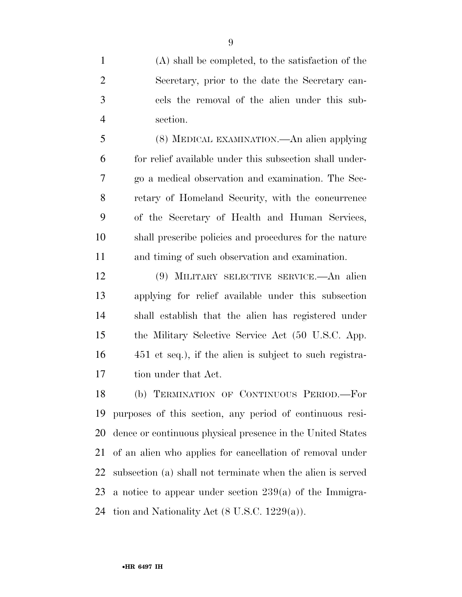(A) shall be completed, to the satisfaction of the Secretary, prior to the date the Secretary can- cels the removal of the alien under this sub-section.

 (8) MEDICAL EXAMINATION.—An alien applying for relief available under this subsection shall under- go a medical observation and examination. The Sec- retary of Homeland Security, with the concurrence of the Secretary of Health and Human Services, shall prescribe policies and procedures for the nature and timing of such observation and examination.

 (9) MILITARY SELECTIVE SERVICE.—An alien applying for relief available under this subsection shall establish that the alien has registered under the Military Selective Service Act (50 U.S.C. App. 451 et seq.), if the alien is subject to such registra-tion under that Act.

 (b) TERMINATION OF CONTINUOUS PERIOD.—For purposes of this section, any period of continuous resi- dence or continuous physical presence in the United States of an alien who applies for cancellation of removal under subsection (a) shall not terminate when the alien is served a notice to appear under section 239(a) of the Immigra-24 tion and Nationality Act  $(8 \text{ U.S.C. } 1229(a))$ .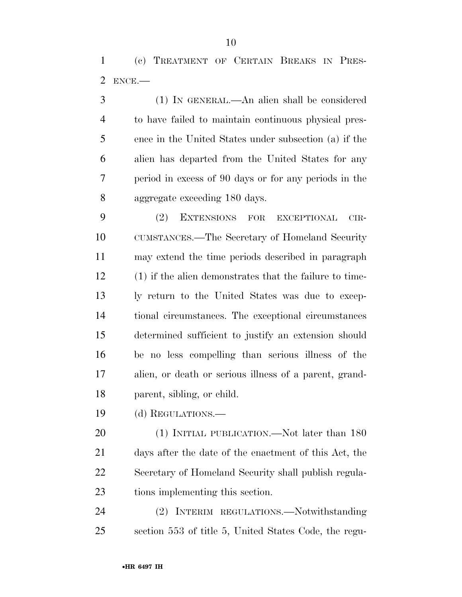(c) TREATMENT OF CERTAIN BREAKS IN PRES-ENCE.—

 (1) IN GENERAL.—An alien shall be considered to have failed to maintain continuous physical pres- ence in the United States under subsection (a) if the alien has departed from the United States for any period in excess of 90 days or for any periods in the aggregate exceeding 180 days.

 (2) EXTENSIONS FOR EXCEPTIONAL CIR- CUMSTANCES.—The Secretary of Homeland Security may extend the time periods described in paragraph (1) if the alien demonstrates that the failure to time- ly return to the United States was due to excep- tional circumstances. The exceptional circumstances determined sufficient to justify an extension should be no less compelling than serious illness of the alien, or death or serious illness of a parent, grand-parent, sibling, or child.

(d) REGULATIONS.—

20 (1) INITIAL PUBLICATION.—Not later than 180 days after the date of the enactment of this Act, the Secretary of Homeland Security shall publish regula-tions implementing this section.

 (2) INTERIM REGULATIONS.—Notwithstanding section 553 of title 5, United States Code, the regu-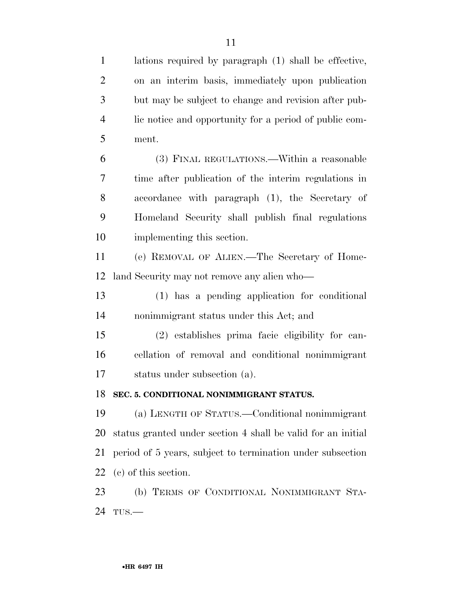| $\mathbf{1}$   | lations required by paragraph (1) shall be effective,        |
|----------------|--------------------------------------------------------------|
| $\overline{2}$ | on an interim basis, immediately upon publication            |
| 3              | but may be subject to change and revision after pub-         |
| $\overline{4}$ | lic notice and opportunity for a period of public com-       |
| 5              | ment.                                                        |
| 6              | (3) FINAL REGULATIONS.—Within a reasonable                   |
| 7              | time after publication of the interim regulations in         |
| 8              | accordance with paragraph (1), the Secretary of              |
| 9              | Homeland Security shall publish final regulations            |
| 10             | implementing this section.                                   |
| 11             | (e) REMOVAL OF ALIEN.—The Secretary of Home-                 |
| 12             | land Security may not remove any alien who—                  |
| 13             | (1) has a pending application for conditional                |
| 14             | nonimmigrant status under this Act; and                      |
| 15             | (2) establishes prima facie eligibility for can-             |
| 16             | cellation of removal and conditional nonimmigrant            |
| 17             | status under subsection (a).                                 |
| 18             | SEC. 5. CONDITIONAL NONIMMIGRANT STATUS.                     |
| 19             | (a) LENGTH OF STATUS.—Conditional nonimmigrant               |
| 20             | status granted under section 4 shall be valid for an initial |
| 21             | period of 5 years, subject to termination under subsection   |
| 22             | (c) of this section.                                         |
| 23             | (b) TERMS OF CONDITIONAL NONIMMIGRANT STA-                   |
| 24             | $TUS$ .                                                      |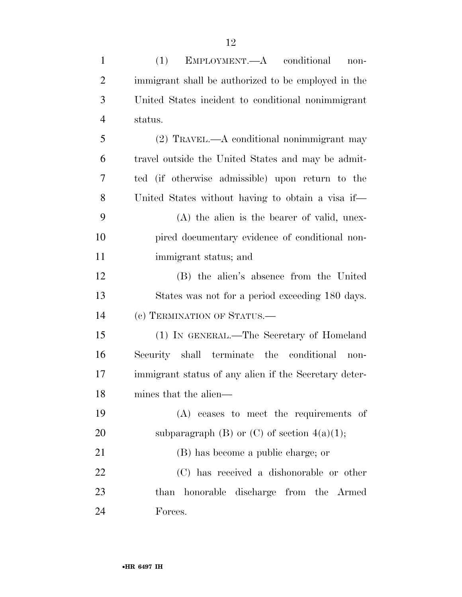| $\mathbf{1}$   | (1)<br>EMPLOYMENT.—A conditional<br>non-              |
|----------------|-------------------------------------------------------|
| $\overline{2}$ | immigrant shall be authorized to be employed in the   |
| 3              | United States incident to conditional nonimmigrant    |
| $\overline{4}$ | status.                                               |
| 5              | $(2)$ TRAVEL.—A conditional nonimmigrant may          |
| 6              | travel outside the United States and may be admit-    |
| 7              | ted (if otherwise admissible) upon return to the      |
| 8              | United States without having to obtain a visa if—     |
| 9              | $(A)$ the alien is the bearer of valid, unex-         |
| 10             | pired documentary evidence of conditional non-        |
| 11             | immigrant status; and                                 |
| 12             | (B) the alien's absence from the United               |
| 13             | States was not for a period exceeding 180 days.       |
| 14             | (c) TERMINATION OF STATUS.—                           |
| 15             | (1) IN GENERAL.—The Secretary of Homeland             |
| 16             | Security shall terminate the conditional<br>non-      |
| 17             | immigrant status of any alien if the Secretary deter- |
| 18             | mines that the alien—                                 |
| 19             | (A) ceases to meet the requirements of                |
| 20             | subparagraph (B) or (C) of section $4(a)(1)$ ;        |
| 21             | (B) has become a public charge; or                    |
| 22             | (C) has received a dishonorable or other              |
| 23             | than honorable discharge from the Armed               |
| 24             | Forces.                                               |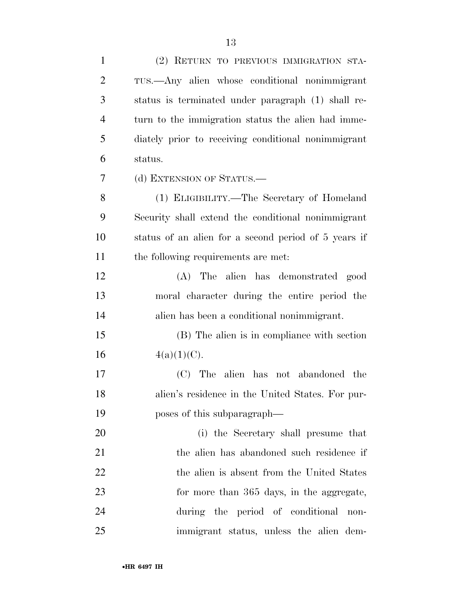| $\mathbf{1}$   | (2) RETURN TO PREVIOUS IMMIGRATION STA-              |
|----------------|------------------------------------------------------|
| $\overline{c}$ | TUS.—Any alien whose conditional nonimmigrant        |
| 3              | status is terminated under paragraph (1) shall re-   |
| $\overline{4}$ | turn to the immigration status the alien had imme-   |
| 5              | diately prior to receiving conditional nonimmigrant  |
| 6              | status.                                              |
| $\tau$         | (d) EXTENSION OF STATUS.—                            |
| 8              | (1) ELIGIBILITY.—The Secretary of Homeland           |
| 9              | Security shall extend the conditional nonimmigrant   |
| 10             | status of an alien for a second period of 5 years if |
| 11             | the following requirements are met:                  |
| 12             | (A) The alien has demonstrated good                  |
| 13             | moral character during the entire period the         |
| 14             | alien has been a conditional nonimmigrant.           |
| 15             | (B) The alien is in compliance with section          |
| 16             | $4(a)(1)(C)$ .                                       |
| 17             | (C) The alien has not abandoned the                  |
| 18             | alien's residence in the United States. For pur-     |
| 19             | poses of this subparagraph—                          |
| 20             | (i) the Secretary shall presume that                 |
| 21             | the alien has abandoned such residence if            |
| 22             | the alien is absent from the United States           |
| 23             | for more than 365 days, in the aggregate,            |
| 24             | during the period of conditional<br>non-             |
| 25             | immigrant status, unless the alien dem-              |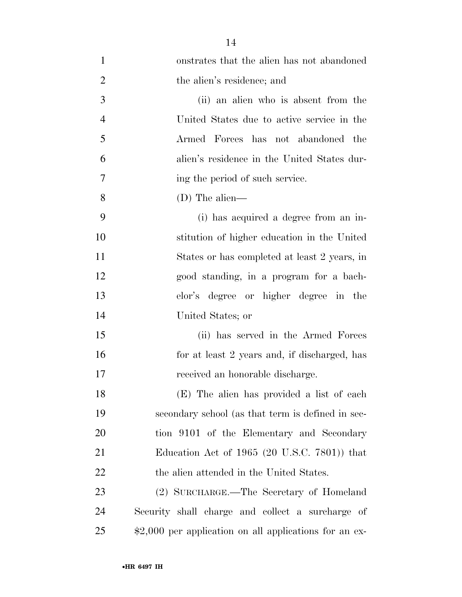| $\mathbf{1}$   | onstrates that the alien has not abandoned                     |
|----------------|----------------------------------------------------------------|
| $\overline{2}$ | the alien's residence; and                                     |
| 3              | (ii) an alien who is absent from the                           |
| $\overline{4}$ | United States due to active service in the                     |
| 5              | Armed Forces has not abandoned the                             |
| 6              | alien's residence in the United States dur-                    |
| 7              | ing the period of such service.                                |
| 8              | (D) The alien—                                                 |
| 9              | (i) has acquired a degree from an in-                          |
| 10             | stitution of higher education in the United                    |
| 11             | States or has completed at least 2 years, in                   |
| 12             | good standing, in a program for a bach-                        |
| 13             | elor's degree or higher degree in the                          |
| 14             | United States; or                                              |
| 15             | (ii) has served in the Armed Forces                            |
| 16             | for at least 2 years and, if discharged, has                   |
| 17             | received an honorable discharge.                               |
| 18             | (E) The alien has provided a list of each                      |
| 19             | secondary school (as that term is defined in sec-              |
| 20             | tion 9101 of the Elementary and Secondary                      |
| 21             | Education Act of 1965 $(20 \text{ U.S.C. } 7801)$ that         |
| 22             | the alien attended in the United States.                       |
| 23             | (2) SURCHARGE.—The Secretary of Homeland                       |
| 24             | Security shall charge and collect a surcharge of               |
| 25             | $\text{$}2,000$ per application on all applications for an ex- |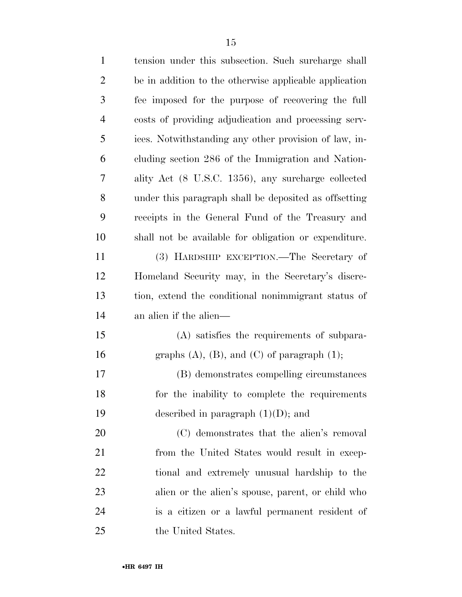| $\mathbf{1}$   | tension under this subsection. Such surcharge shall    |
|----------------|--------------------------------------------------------|
| $\overline{2}$ | be in addition to the otherwise applicable application |
| 3              | fee imposed for the purpose of recovering the full     |
| $\overline{4}$ | costs of providing adjudication and processing serv-   |
| 5              | ices. Notwithstanding any other provision of law, in-  |
| 6              | cluding section 286 of the Immigration and Nation-     |
| 7              | ality Act (8 U.S.C. 1356), any surcharge collected     |
| 8              | under this paragraph shall be deposited as offsetting  |
| 9              | receipts in the General Fund of the Treasury and       |
| 10             | shall not be available for obligation or expenditure.  |
| 11             | (3) HARDSHIP EXCEPTION.—The Secretary of               |
| 12             | Homeland Security may, in the Secretary's discre-      |
| 13             | tion, extend the conditional nonimmigrant status of    |
| 14             | an alien if the alien—                                 |
| 15             | (A) satisfies the requirements of subpara-             |
| 16             | graphs $(A)$ , $(B)$ , and $(C)$ of paragraph $(1)$ ;  |
| 17             | (B) demonstrates compelling circumstances              |
| 18             | for the inability to complete the requirements         |
| 19             | described in paragraph $(1)(D)$ ; and                  |
| 20             | (C) demonstrates that the alien's removal              |
| 21             | from the United States would result in excep-          |
| 22             | tional and extremely unusual hardship to the           |
| 23             | alien or the alien's spouse, parent, or child who      |
| 24             | is a citizen or a lawful permanent resident of         |
| 25             | the United States.                                     |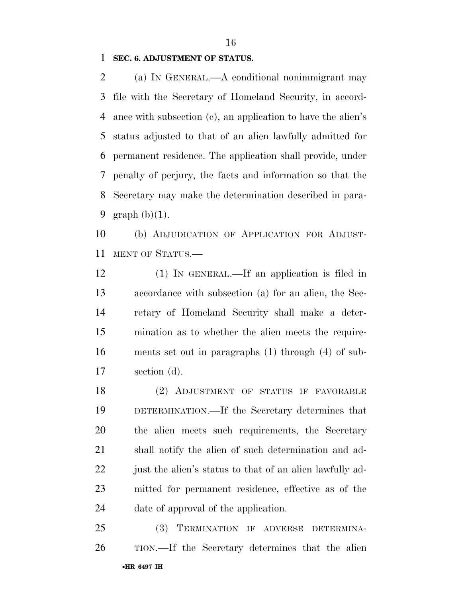### **SEC. 6. ADJUSTMENT OF STATUS.**

 (a) IN GENERAL.—A conditional nonimmigrant may file with the Secretary of Homeland Security, in accord- ance with subsection (c), an application to have the alien's status adjusted to that of an alien lawfully admitted for permanent residence. The application shall provide, under penalty of perjury, the facts and information so that the Secretary may make the determination described in para-graph (b)(1).

 (b) ADJUDICATION OF APPLICATION FOR ADJUST-MENT OF STATUS.—

 (1) IN GENERAL.—If an application is filed in accordance with subsection (a) for an alien, the Sec- retary of Homeland Security shall make a deter- mination as to whether the alien meets the require- ments set out in paragraphs (1) through (4) of sub-section (d).

 (2) ADJUSTMENT OF STATUS IF FAVORABLE DETERMINATION.—If the Secretary determines that the alien meets such requirements, the Secretary shall notify the alien of such determination and ad-22 just the alien's status to that of an alien lawfully ad- mitted for permanent residence, effective as of the date of approval of the application.

•**HR 6497 IH** (3) TERMINATION IF ADVERSE DETERMINA-TION.—If the Secretary determines that the alien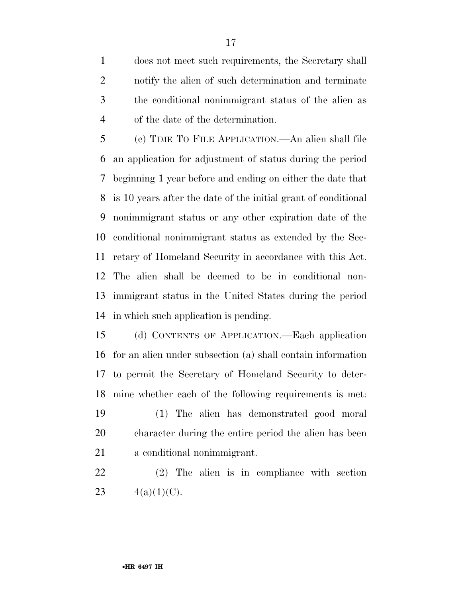does not meet such requirements, the Secretary shall notify the alien of such determination and terminate the conditional nonimmigrant status of the alien as of the date of the determination.

 (c) TIME TO FILE APPLICATION.—An alien shall file an application for adjustment of status during the period beginning 1 year before and ending on either the date that is 10 years after the date of the initial grant of conditional nonimmigrant status or any other expiration date of the conditional nonimmigrant status as extended by the Sec- retary of Homeland Security in accordance with this Act. The alien shall be deemed to be in conditional non- immigrant status in the United States during the period in which such application is pending.

 (d) CONTENTS OF APPLICATION.—Each application for an alien under subsection (a) shall contain information to permit the Secretary of Homeland Security to deter-mine whether each of the following requirements is met:

 (1) The alien has demonstrated good moral character during the entire period the alien has been a conditional nonimmigrant.

 (2) The alien is in compliance with section 23  $4(a)(1)(C)$ .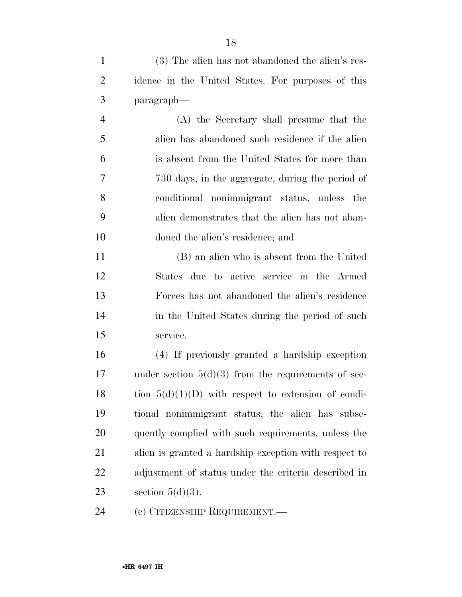(A) the Secretary shall presume that the alien has abandoned such residence if the alien is absent from the United States for more than 730 days, in the aggregate, during the period of conditional nonimmigrant status, unless the alien demonstrates that the alien has not aban-doned the alien's residence; and

 (B) an alien who is absent from the United States due to active service in the Armed Forces has not abandoned the alien's residence 14 in the United States during the period of such service.

 (4) If previously granted a hardship exception under section 5(d)(3) from the requirements of sec-18 tion  $5(d)(1)(D)$  with respect to extension of condi- tional nonimmigrant status, the alien has subse- quently complied with such requirements, unless the alien is granted a hardship exception with respect to adjustment of status under the criteria described in 23 section  $5(d)(3)$ .

(e) CITIZENSHIP REQUIREMENT.—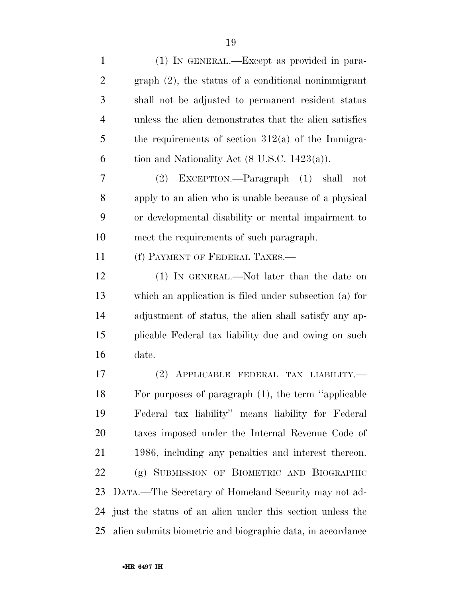| $\mathbf{1}$   | (1) IN GENERAL.—Except as provided in para-                |
|----------------|------------------------------------------------------------|
| $\overline{2}$ | $graph (2)$ , the status of a conditional nonimmigrant     |
| 3              | shall not be adjusted to permanent resident status         |
| 4              | unless the alien demonstrates that the alien satisfies     |
| 5              | the requirements of section $312(a)$ of the Immigra-       |
| 6              | tion and Nationality Act $(8 \text{ U.S.C. } 1423(a))$ .   |
| 7              | (2) EXCEPTION.—Paragraph (1) shall<br>not                  |
| 8              | apply to an alien who is unable because of a physical      |
| 9              | or developmental disability or mental impairment to        |
| 10             | meet the requirements of such paragraph.                   |
| 11             | (f) PAYMENT OF FEDERAL TAXES.—                             |
| 12             | (1) IN GENERAL.—Not later than the date on                 |
| 13             | which an application is filed under subsection (a) for     |
| 14             | adjustment of status, the alien shall satisfy any ap-      |
| 15             | plicable Federal tax liability due and owing on such       |
| 16             | date.                                                      |
| 17             | (2)<br>APPLICABLE FEDERAL TAX LIABILITY.-                  |
| 18             | For purposes of paragraph (1), the term "applicable        |
| 19             | Federal tax liability" means liability for Federal         |
| 20             | taxes imposed under the Internal Revenue Code of           |
| 21             | 1986, including any penalties and interest thereon.        |
| 22             | (g) SUBMISSION OF BIOMETRIC AND BIOGRAPHIC                 |
| 23             | DATA.—The Secretary of Homeland Security may not ad-       |
| 24             | just the status of an alien under this section unless the  |
| 25             | alien submits biometric and biographic data, in accordance |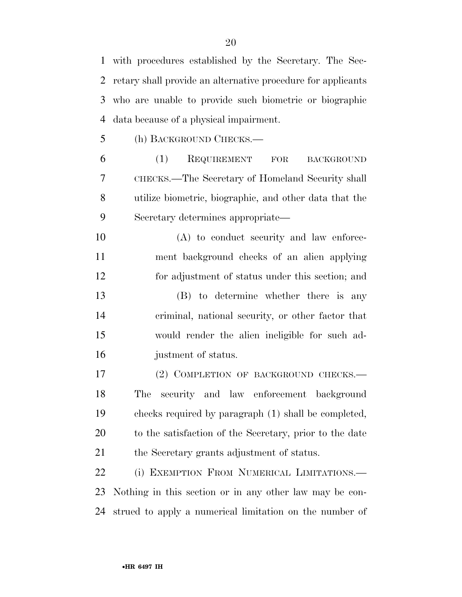with procedures established by the Secretary. The Sec- retary shall provide an alternative procedure for applicants who are unable to provide such biometric or biographic data because of a physical impairment.

(h) BACKGROUND CHECKS.—

 (1) REQUIREMENT FOR BACKGROUND CHECKS.—The Secretary of Homeland Security shall utilize biometric, biographic, and other data that the Secretary determines appropriate—

 (A) to conduct security and law enforce- ment background checks of an alien applying for adjustment of status under this section; and

 (B) to determine whether there is any criminal, national security, or other factor that would render the alien ineligible for such ad-justment of status.

17 (2) COMPLETION OF BACKGROUND CHECKS. The security and law enforcement background checks required by paragraph (1) shall be completed, to the satisfaction of the Secretary, prior to the date 21 the Secretary grants adjustment of status.

 (i) EXEMPTION FROM NUMERICAL LIMITATIONS.— Nothing in this section or in any other law may be con-strued to apply a numerical limitation on the number of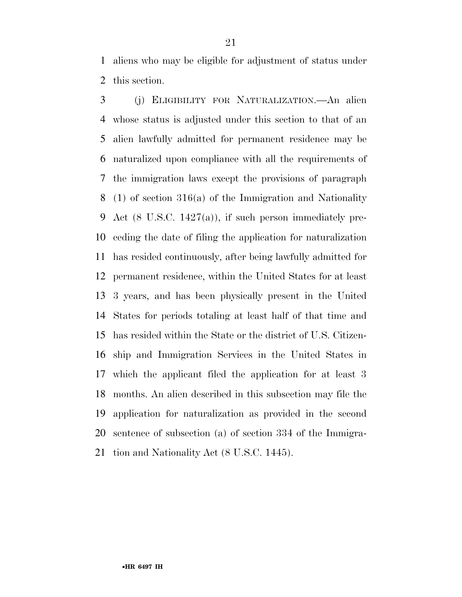aliens who may be eligible for adjustment of status under this section.

 (j) ELIGIBILITY FOR NATURALIZATION.—An alien whose status is adjusted under this section to that of an alien lawfully admitted for permanent residence may be naturalized upon compliance with all the requirements of the immigration laws except the provisions of paragraph (1) of section 316(a) of the Immigration and Nationality Act (8 U.S.C. 1427(a)), if such person immediately pre- ceding the date of filing the application for naturalization has resided continuously, after being lawfully admitted for permanent residence, within the United States for at least 3 years, and has been physically present in the United States for periods totaling at least half of that time and has resided within the State or the district of U.S. Citizen- ship and Immigration Services in the United States in which the applicant filed the application for at least 3 months. An alien described in this subsection may file the application for naturalization as provided in the second sentence of subsection (a) of section 334 of the Immigra-tion and Nationality Act (8 U.S.C. 1445).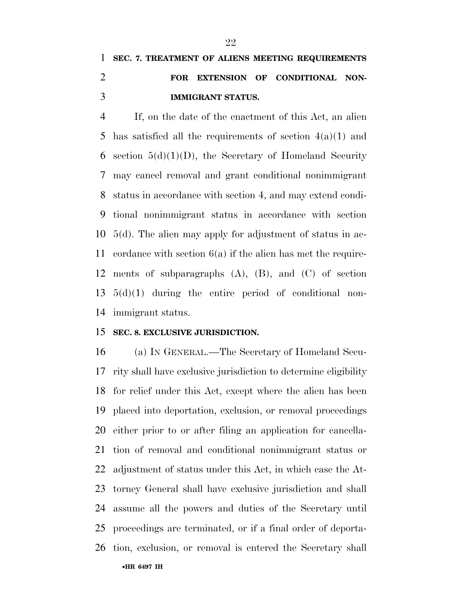## **SEC. 7. TREATMENT OF ALIENS MEETING REQUIREMENTS FOR EXTENSION OF CONDITIONAL NON-IMMIGRANT STATUS.**

 If, on the date of the enactment of this Act, an alien 5 has satisfied all the requirements of section  $4(a)(1)$  and 6 section  $5(d)(1)(D)$ , the Secretary of Homeland Security may cancel removal and grant conditional nonimmigrant status in accordance with section 4, and may extend condi- tional nonimmigrant status in accordance with section 5(d). The alien may apply for adjustment of status in ac- cordance with section 6(a) if the alien has met the require- ments of subparagraphs (A), (B), and (C) of section 5(d)(1) during the entire period of conditional non-immigrant status.

### **SEC. 8. EXCLUSIVE JURISDICTION.**

•**HR 6497 IH** (a) IN GENERAL.—The Secretary of Homeland Secu- rity shall have exclusive jurisdiction to determine eligibility for relief under this Act, except where the alien has been placed into deportation, exclusion, or removal proceedings either prior to or after filing an application for cancella- tion of removal and conditional nonimmigrant status or adjustment of status under this Act, in which case the At- torney General shall have exclusive jurisdiction and shall assume all the powers and duties of the Secretary until proceedings are terminated, or if a final order of deporta-tion, exclusion, or removal is entered the Secretary shall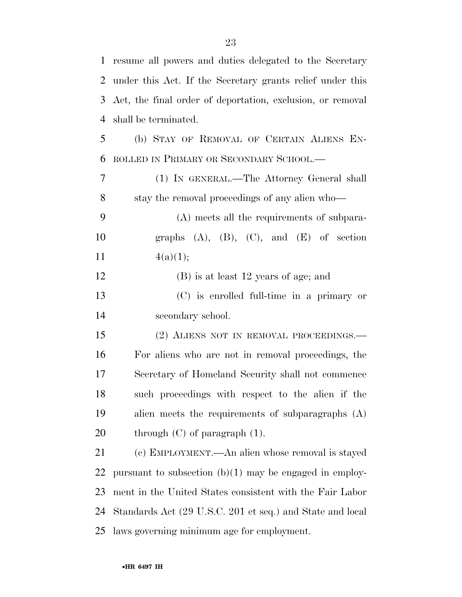| 1             | resume all powers and duties delegated to the Secretary    |
|---------------|------------------------------------------------------------|
| 2             | under this Act. If the Secretary grants relief under this  |
| 3             | Act, the final order of deportation, exclusion, or removal |
| 4             | shall be terminated.                                       |
| 5             | (b) STAY OF REMOVAL OF CERTAIN ALIENS EN-                  |
| 6             | ROLLED IN PRIMARY OR SECONDARY SCHOOL.—                    |
| 7             | (1) IN GENERAL.—The Attorney General shall                 |
| 8             | stay the removal proceedings of any alien who—             |
| 9             | (A) meets all the requirements of subpara-                 |
| 10            | graphs $(A)$ , $(B)$ , $(C)$ , and $(E)$ of section        |
| <sup>11</sup> | 4(a)(1);                                                   |
| 12            | (B) is at least 12 years of age; and                       |
| 13            | (C) is enrolled full-time in a primary or                  |
| 14            | secondary school.                                          |
| 15            | (2) ALIENS NOT IN REMOVAL PROCEEDINGS.                     |
| 16            | For aliens who are not in removal proceedings, the         |
| 17            | Secretary of Homeland Security shall not commence          |
| 18            | such proceedings with respect to the alien if the          |
| 19            | alien meets the requirements of subparagraphs (A)          |
| 20            | through $(C)$ of paragraph $(1)$ .                         |
| 21            | (c) EMPLOYMENT.—An alien whose removal is stayed           |
| 22            | pursuant to subsection $(b)(1)$ may be engaged in employ-  |
| 23            | ment in the United States consistent with the Fair Labor   |
| 24            | Standards Act (29 U.S.C. 201 et seq.) and State and local  |
| 25            | laws governing minimum age for employment.                 |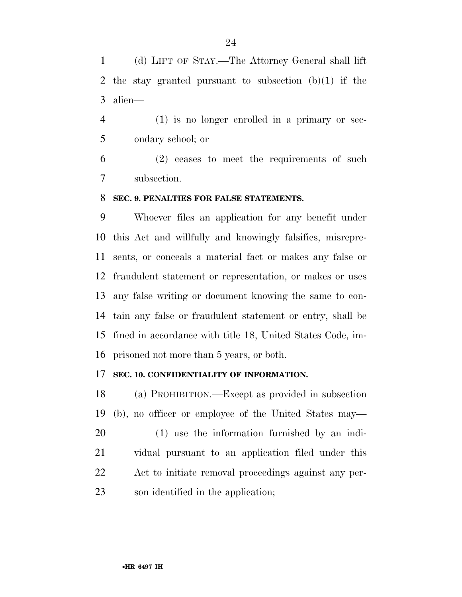(d) LIFT OF STAY.—The Attorney General shall lift the stay granted pursuant to subsection (b)(1) if the alien—

 (1) is no longer enrolled in a primary or sec-ondary school; or

 (2) ceases to meet the requirements of such subsection.

### **SEC. 9. PENALTIES FOR FALSE STATEMENTS.**

 Whoever files an application for any benefit under this Act and willfully and knowingly falsifies, misrepre- sents, or conceals a material fact or makes any false or fraudulent statement or representation, or makes or uses any false writing or document knowing the same to con- tain any false or fraudulent statement or entry, shall be fined in accordance with title 18, United States Code, im-prisoned not more than 5 years, or both.

### **SEC. 10. CONFIDENTIALITY OF INFORMATION.**

 (a) PROHIBITION.—Except as provided in subsection (b), no officer or employee of the United States may— (1) use the information furnished by an indi- vidual pursuant to an application filed under this Act to initiate removal proceedings against any per-son identified in the application;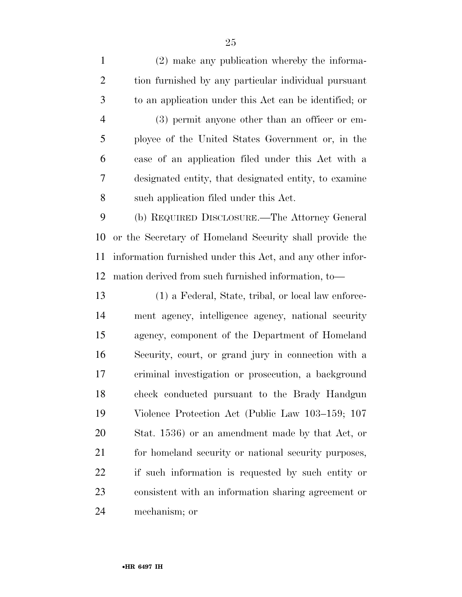(2) make any publication whereby the informa- tion furnished by any particular individual pursuant to an application under this Act can be identified; or (3) permit anyone other than an officer or em- ployee of the United States Government or, in the case of an application filed under this Act with a designated entity, that designated entity, to examine such application filed under this Act. (b) REQUIRED DISCLOSURE.—The Attorney General or the Secretary of Homeland Security shall provide the information furnished under this Act, and any other infor- mation derived from such furnished information, to— (1) a Federal, State, tribal, or local law enforce- ment agency, intelligence agency, national security agency, component of the Department of Homeland Security, court, or grand jury in connection with a criminal investigation or prosecution, a background check conducted pursuant to the Brady Handgun Violence Protection Act (Public Law 103–159; 107 Stat. 1536) or an amendment made by that Act, or for homeland security or national security purposes, if such information is requested by such entity or

consistent with an information sharing agreement or

mechanism; or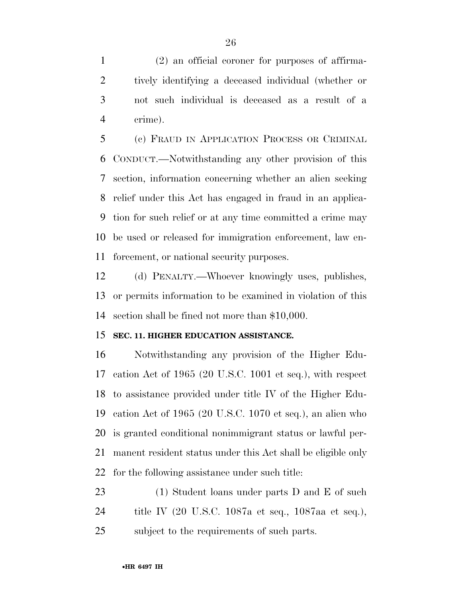(2) an official coroner for purposes of affirma- tively identifying a deceased individual (whether or not such individual is deceased as a result of a crime).

 (c) FRAUD IN APPLICATION PROCESS OR CRIMINAL CONDUCT.—Notwithstanding any other provision of this section, information concerning whether an alien seeking relief under this Act has engaged in fraud in an applica- tion for such relief or at any time committed a crime may be used or released for immigration enforcement, law en-forcement, or national security purposes.

 (d) PENALTY.—Whoever knowingly uses, publishes, or permits information to be examined in violation of this section shall be fined not more than \$10,000.

### **SEC. 11. HIGHER EDUCATION ASSISTANCE.**

 Notwithstanding any provision of the Higher Edu- cation Act of 1965 (20 U.S.C. 1001 et seq.), with respect to assistance provided under title IV of the Higher Edu- cation Act of 1965 (20 U.S.C. 1070 et seq.), an alien who is granted conditional nonimmigrant status or lawful per- manent resident status under this Act shall be eligible only for the following assistance under such title:

23 (1) Student loans under parts D and E of such title IV (20 U.S.C. 1087a et seq., 1087aa et seq.), subject to the requirements of such parts.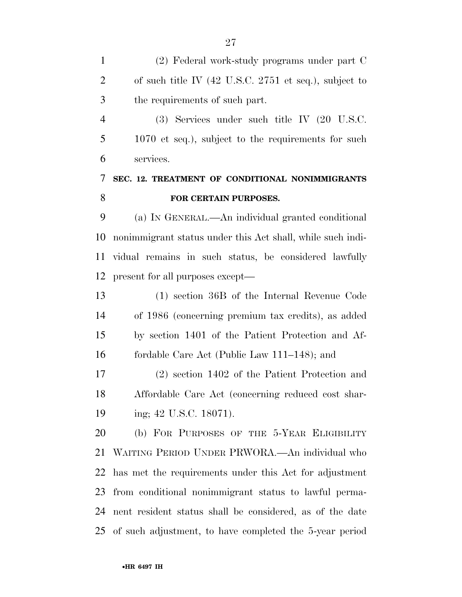(2) Federal work-study programs under part C of such title IV (42 U.S.C. 2751 et seq.), subject to the requirements of such part.

 (3) Services under such title IV (20 U.S.C. 1070 et seq.), subject to the requirements for such services.

## **SEC. 12. TREATMENT OF CONDITIONAL NONIMMIGRANTS FOR CERTAIN PURPOSES.**

 (a) IN GENERAL.—An individual granted conditional nonimmigrant status under this Act shall, while such indi- vidual remains in such status, be considered lawfully present for all purposes except—

 (1) section 36B of the Internal Revenue Code of 1986 (concerning premium tax credits), as added by section 1401 of the Patient Protection and Af-fordable Care Act (Public Law 111–148); and

 (2) section 1402 of the Patient Protection and Affordable Care Act (concerning reduced cost shar-19 ing; 42 U.S.C. 18071).

 (b) FOR PURPOSES OF THE 5-YEAR ELIGIBILITY WAITING PERIOD UNDER PRWORA.—An individual who has met the requirements under this Act for adjustment from conditional nonimmigrant status to lawful perma- nent resident status shall be considered, as of the date of such adjustment, to have completed the 5-year period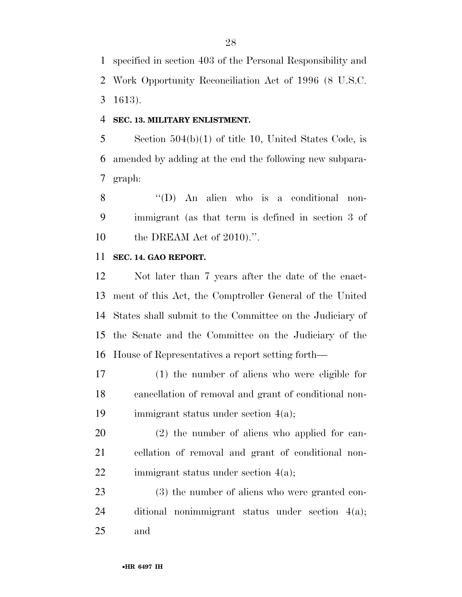specified in section 403 of the Personal Responsibility and Work Opportunity Reconciliation Act of 1996 (8 U.S.C. 1613).

#### **SEC. 13. MILITARY ENLISTMENT.**

 Section 504(b)(1) of title 10, United States Code, is amended by adding at the end the following new subpara-graph:

 ''(D) An alien who is a conditional non- immigrant (as that term is defined in section 3 of the DREAM Act of 2010).''.

### **SEC. 14. GAO REPORT.**

 Not later than 7 years after the date of the enact- ment of this Act, the Comptroller General of the United States shall submit to the Committee on the Judiciary of the Senate and the Committee on the Judiciary of the House of Representatives a report setting forth—

 (1) the number of aliens who were eligible for cancellation of removal and grant of conditional non-immigrant status under section 4(a);

 (2) the number of aliens who applied for can- cellation of removal and grant of conditional non-22 immigrant status under section 4(a);

 (3) the number of aliens who were granted con- ditional nonimmigrant status under section 4(a); and